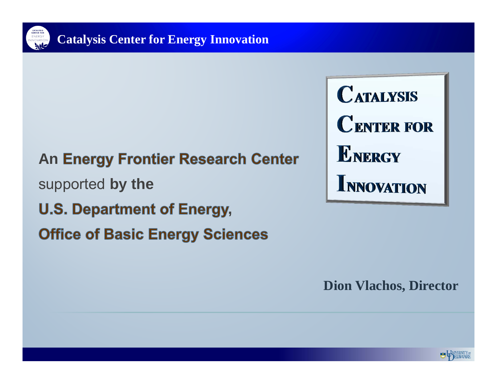

#### **An**

supported **by the**

- **U.S. Department of Energy,**
- **Office of Basic Energy Sciences**

**CATALYSIS CENTER FOR ENERGY INNOVATION** 

**Dion Vlachos, Director**

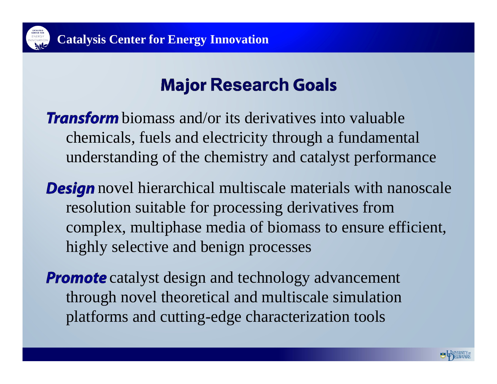

## **Major Research Goals**

**Transform** biomass and/or its derivatives into valuable chemicals, fuels and electricity through a fundamental understanding of the chemistry and catalyst performance

**Design** novel hierarchical multiscale materials with nanoscale resolution suitable for processing derivatives from complex, multiphase media of biomass to ensure efficient, highly selective and benign processes

**Promote** catalyst design and technology advancement through novel theoretical and multiscale simulation platforms and cutting-edge characterization tools

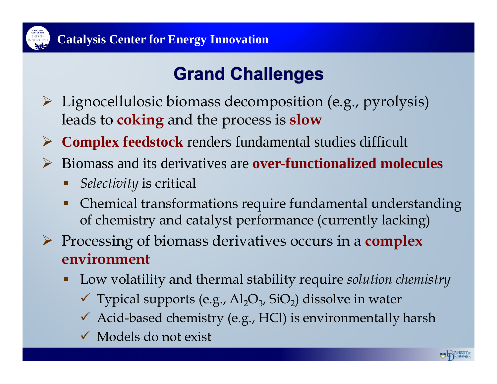

# **Grand Challenges**

- Lignocellulosic biomass decomposition (e.g., pyrolysis) leads to **coking** and the process is **slow**
- **Complex feedstock** renders fundamental studies difficult
- Biomass and its derivatives are **over-functionalized molecules**
	- *Selectivity* is critical
	- $\blacksquare$  Chemical transformations require fundamental understanding of chemistry and catalyst performance (currently lacking)
- Processing of biomass derivatives occurs in a **complex environment**
	- Ŧ Low volatility and thermal stability require *solution chemistry*
		- $\checkmark$  Typical supports (e.g., Al<sub>2</sub>O<sub>3</sub>, SiO<sub>2</sub>) dissolve in water
		- Acid-based chemistry (e.g., HCl) is environmentally harsh
		- Models do not exist

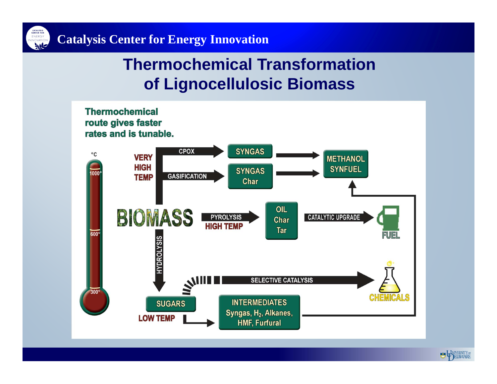

### **Thermochemical Transformation of Lignocellulosic Biomass**



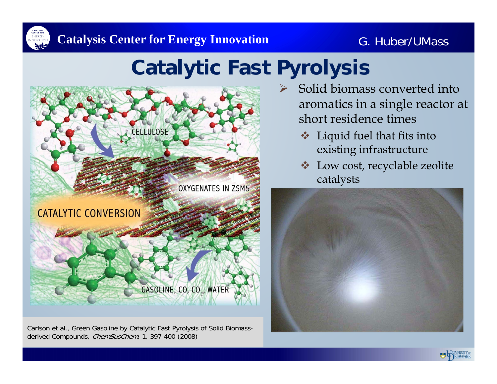

#### G. Huber/UMass

# **Catalytic Fast Pyrolysis**



Carlson et al., Green Gasoline by Catalytic Fast Pyrolysis of Solid Biomassderived Compounds, *ChemSusChem*, 1, 397-400 (2008)

- $\blacktriangleright$  Solid biomass converted into aromatics in a single reactor at short residence times
	- $\frac{1}{2}$  Liquid fuel that fits into existing infrastructure
	- $\frac{1}{2}$  Low cost, recyclable zeolite catalysts



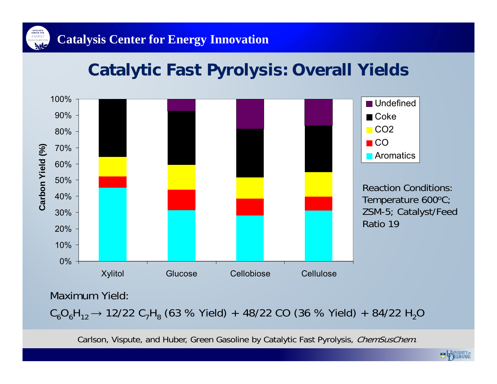

## **Catalytic Fast Pyrolysis: Overall Yields**



Maximum Yield:

 $\mathsf{C}_6\mathsf{O}_6\mathsf{H}_{12}$   $\rightarrow$  12/22  $\mathsf{C}_7\mathsf{H}_8$  (63 % Yield) + 48/22 CO (36 % Yield) + 84/22  $\mathsf{H}_2\mathsf{O}$ 

Carlson, Vispute, and Huber, Green Gasoline by Catalytic Fast Pyrolysis, ChemSusChem.

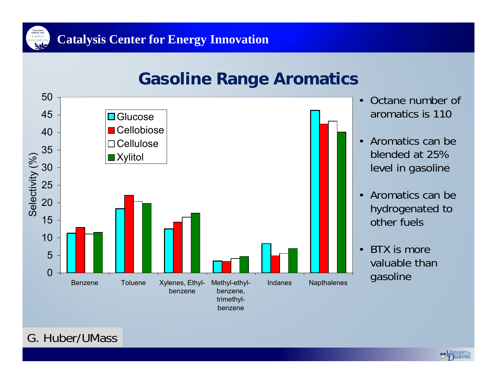

### **Gasoline Range Aromatics**



G. Huber/UMass